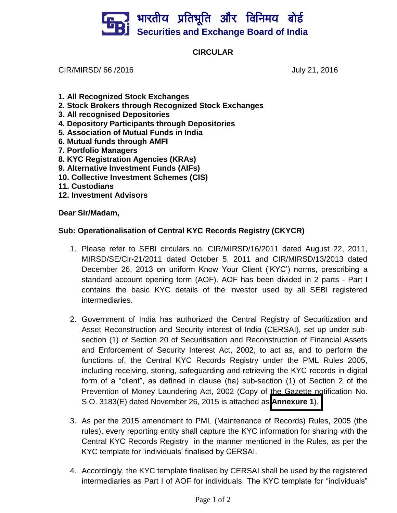## भारतीय प्रतिभूति और विनिमय बो**र्ड Securities and Exchange Board of India**

## **CIRCULAR**

CIR/MIRSD/ 66 /2016 **July 21, 2016** July 21, 2016

- **1. All Recognized Stock Exchanges**
- **2. Stock Brokers through Recognized Stock Exchanges**
- **3. All recognised Depositories**
- **4. Depository Participants through Depositories**
- **5. Association of Mutual Funds in India**
- **6. Mutual funds through AMFI**
- **7. Portfolio Managers**
- **8. KYC Registration Agencies (KRAs)**
- **9. Alternative Investment Funds (AIFs)**
- **10. Collective Investment Schemes (CIS)**
- **11. Custodians**
- **12. Investment Advisors**

**Dear Sir/Madam,** 

## **Sub: Operationalisation of Central KYC Records Registry (CKYCR)**

- 1. Please refer to SEBI circulars no. CIR/MIRSD/16/2011 dated August 22, 2011, MIRSD/SE/Cir-21/2011 dated October 5, 2011 and CIR/MIRSD/13/2013 dated December 26, 2013 on uniform Know Your Client ("KYC") norms, prescribing a standard account opening form (AOF). AOF has been divided in 2 parts - Part I contains the basic KYC details of the investor used by all SEBI registered intermediaries.
- 2. Government of India has authorized the Central Registry of Securitization and Asset Reconstruction and Security interest of India (CERSAI), set up under subsection (1) of Section 20 of Securitisation and Reconstruction of Financial Assets and Enforcement of Security Interest Act, 2002, to act as, and to perform the functions of, the Central KYC Records Registry under the PML Rules 2005, including receiving, storing, safeguarding and retrieving the KYC records in digital form of a "client", as defined in clause (ha) sub-section (1) of Section 2 of the Prevention of Money Laundering Act, 2002 (Copy of the Gazette notification No. S.O. 3183(E) dated November 26, 2015 is attached as **[Annexure 1](http://www.sebi.gov.in/cms/sebi_data/commondocs/21072016_Annex1_p.pdf)**).
- 3. As per the 2015 amendment to PML (Maintenance of Records) Rules, 2005 (the rules), every reporting entity shall capture the KYC information for sharing with the Central KYC Records Registry in the manner mentioned in the Rules, as per the KYC template for "individuals" finalised by CERSAI.
- 4. Accordingly, the KYC template finalised by CERSAI shall be used by the registered intermediaries as Part I of AOF for individuals. The KYC template for "individuals"